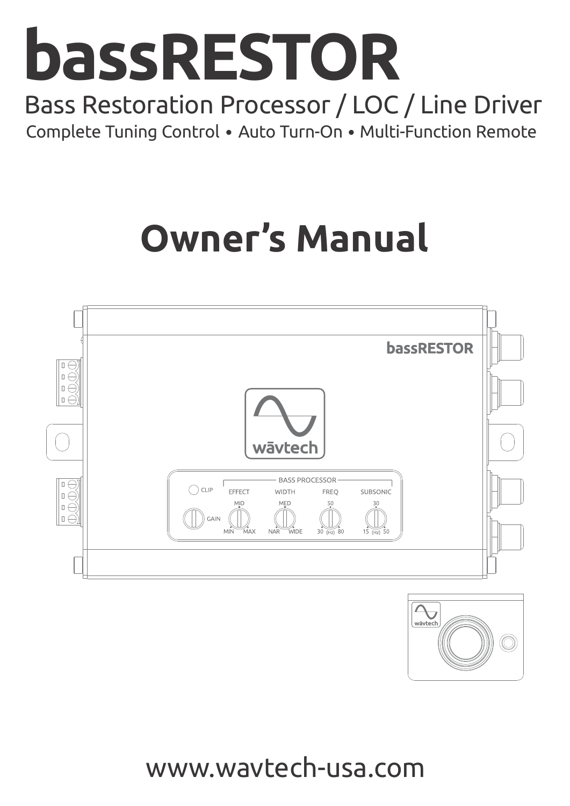

# Bass Restoration Processor / LOC / Line Driver Complete Tuning Control • Auto Turn-On • Multi-Function Remote

# **Owner's Manual**





www.wavtech-usa.com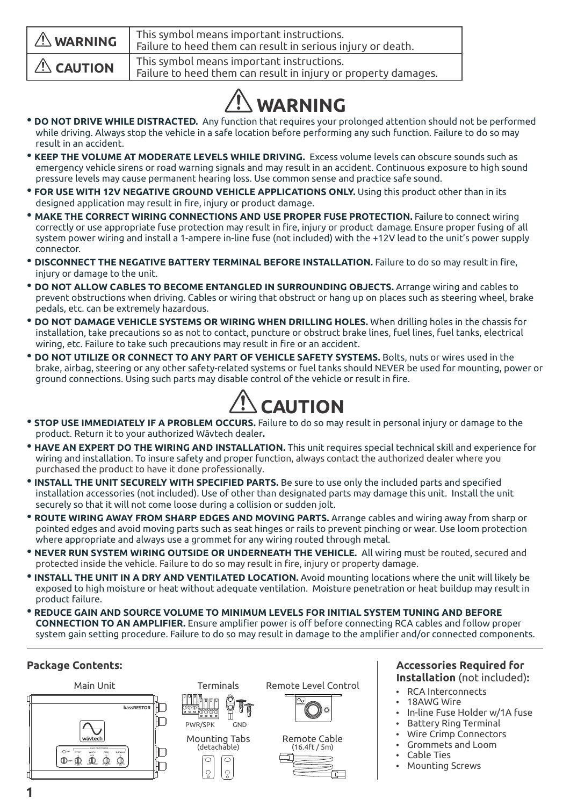| $\triangle$ WARNING | This symbol means important instructions.<br>Failure to heed them can result in serious injury or death.    |
|---------------------|-------------------------------------------------------------------------------------------------------------|
| $\triangle$ CAUTION | This symbol means important instructions.<br>Failure to heed them can result in injury or property damages. |

# **WARNING**

- **DO NOT DRIVE WHILE DISTRACTED.** Any function that requires your prolonged attention should not be performed while driving. Always stop the vehicle in a safe location before performing any such function. Failure to do so may result in an accident.
- • **KEEP THE VOLUME AT MODERATE LEVELS WHILE DRIVING.** Excess volume levels can obscure sounds such as emergency vehicle sirens or road warning signals and may result in an accident. Continuous exposure to high sound pressure levels may cause permanent hearing loss. Use common sense and practice safe sound.
- • **FOR USE WITH 12V NEGATIVE GROUND VEHICLE APPLICATIONS ONLY.** Using this product other than in its designed application may result in fire, injury or product damage.
- **MAKE THE CORRECT WIRING CONNECTIONS AND USE PROPER FUSE PROTECTION.** Failure to connect wiring correctly or use appropriate fuse protection may result in fire, injury or product damage . Ensure proper fusing of all system power wiring and install a 1-ampere in-line fuse (not included) with the +12V lead to the unit's power supply connector.
- **DISCONNECT THE NEGATIVE BATTERY TERMINAL BEFORE INSTALLATION.** Failure to do so may result in fire, injury or damage to the unit.
- **DO NOT ALLOW CABLES TO BECOME ENTANGLED IN SURROUNDING OBJECTS.** Arrange wiring and cables to prevent obstructions when driving. Cables or wiring that obstruct or hang up on places such as steering wheel, brake pedals, etc. can be extremely hazardous.
- **DO NOT DAMAGE VEHICLE SYSTEMS OR WIRING WHEN DRILLING HOLES.** When drilling holes in the chassis for installation, take precautions so as not to contact, puncture or obstruct brake lines, fuel lines, fuel tanks, electrical wiring, etc. Failure to take such precautions may result in fire or an accident.
- **DO NOT UTILIZE OR CONNECT TO ANY PART OF VEHICLE SAFETY SYSTEMS.** Bolts, nuts or wires used in the brake, airbag, steering or any other safety-related systems or fuel tanks should NEVER be used for mounting, power or ground connections. Using such parts may disable control of the vehicle or result in fire.



- **STOP USE IMMEDIATELY IF A PROBLEM OCCURS.** Failure to do so may result in personal injury or damage to the product. Return it to your authorized Wāvtech dealer**.**
- • **HAVE AN EXPERT DO THE WIRING AND INSTALLATION.** This unit requires special technical skill and experience for wiring and installation. To insure safety and proper function, always contact the authorized dealer where you purchased the product to have it done professionally.
- **INSTALL THE UNIT SECURELY WITH SPECIFIED PARTS.** Be sure to use only the included parts and specified installation accessories (not included). Use of other than designated parts may damage this unit. Install the unit securely so that it will not come loose during a collision or sudden jolt.
- **ROUTE WIRING AWAY FROM SHARP EDGES AND MOVING PARTS.** Arrange cables and wiring away from sharp or pointed edges and avoid moving parts such as seat hinges or rails to prevent pinching or wear. Use loom protection where appropriate and always use a grommet for any wiring routed through metal.
- • **NEVER RUN SYSTEM WIRING OUTSIDE OR UNDERNEATH THE VEHICLE.** All wiring must be routed, secured and protected inside the vehicle. Failure to do so may result in fire, injury or property damage.
- •**INSTALL THE UNIT IN A DRY AND VENTILATED LOCATION.** Avoid mounting locations where the unit will likely be exposed to high moisture or heat without adequate ventilation. Moisture penetration or heat buildup may result in product failure.
- **REDUCE GAIN AND SOURCE VOLUME TO MINIMUM LEVELS FOR INITIAL SYSTEM TUNING AND BEFORE CONNECTION TO AN AMPLIFIER.** Ensure amplifier power is off before connecting RCA cables and follow proper system gain setting procedure. Failure to do so may result in damage to the amplifier and/or connected components.

#### **Package Contents:**







Remote Level Control



Remote Cable (16.4ft / 5m)

#### **Accessories Required for Installation** (not included)**:**

- RCA Interconnects
- 18AWG Wire
- In-line Fuse Holder w/1A fuse
- **Battery Ring Terminal**
- Wire Crimp Connectors
- Grommets and Loom
- Cable Ties
- **Mounting Screws**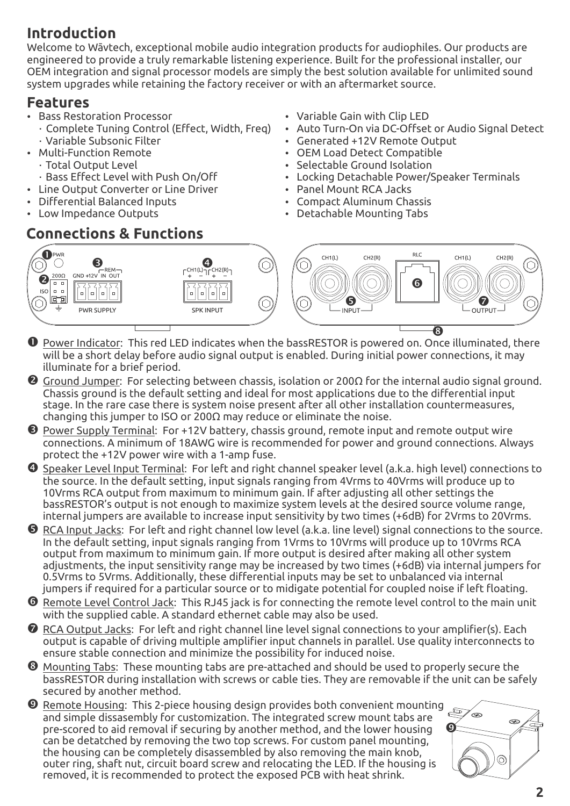# **Introduction**

Welcome to Wāvtech, exceptional mobile audio integration products for audiophiles. Our products are engineered to provide a truly remarkable listening experience. Built for the professional installer, our OEM integration and signal processor models are simply the best solution available for unlimited sound system upgrades while retaining the factory receiver or with an aftermarket source.

### **Features**

- **Bass Restoration Processor**
- Complete Tuning Control (Effect, Width, Freq) Variable Subsonic Filter
- Multi-Function Remote
	- Total Output Level
	- Bass Effect Level with Push On/Off
- Line Output Converter or Line Driver
- Differential Balanced Inputs
- Low Impedance Outputs

# **Connections & Functions**

- Variable Gain with Clip LED
- Auto Turn-On via DC-Offset or Audio Signal Detect
- Generated +12V Remote Output
- OEM Load Detect Compatible
- Selectable Ground Isolation
- Locking Detachable Power/Speaker Terminals
- $\cdot$  Panel Mount RCA Jacks
- Compact Aluminum Chassis
- Detachable Mounting Tabs



- **O** Power Indicator: This red LED indicates when the bassRESTOR is powered on. Once illuminated, there will be a short delay before audio signal output is enabled. During initial power connections, it may illuminate for a brief period.
- **②** Ground Jumper: For selecting between chassis, isolation or 2000 for the internal audio signal ground. Chassis ground is the default setting and ideal for most applications due to the differential input stage. In the rare case there is system noise present after all other installation countermeasures, changing this jumper to ISO or 200 $\Omega$  may reduce or eliminate the noise.
- Ž Power Supply Terminal:For +12V battery, chassis ground, remote input and remote output wire connections. A minimum of 18AWG wire is recommended for power and ground connections. Always protect the +12V power wire with a 1-amp fuse.
- Speaker Level Input Terminal: For left and right channel speaker level (a.k.a. high level) connections to the source. In the default setting, input signals ranging from 4Vrms to 40Vrms will produce up to 10Vrms RCA output from maximum to minimum gain. If after adjusting all other settings the bassRESTOR's output is not enough to maximize system levels at the desired source volume range, internal jumpers are available to increase input sensitivity by two times (+6dB) for 2Vrms to 20Vrms.
- RCA Input Jacks: For left and right channel low level (a.k.a. line level) signal connections to the source. In the default setting, input signals ranging from 1Vrms to 10Vrms will produce up to 10Vrms RCA output from maximum to minimum gain. If more output is desired after making all other system adjustments, the input sensitivity range may be increased by two times (+6dB) via internal jumpers for 0.5Vrms to 5Vrms. Additionally, these differential inputs may be set to unbalanced via internal jumpers if required for a particular source or to midigate potential for coupled noise if left floating.
- ' Remote Level Control Jack: This RJ45 jack is for connecting the remote level control to the main unit with the supplied cable. A standard ethernet cable may also be used.
- $\bullet$  RCA Output Jacks: For left and right channel line level signal connections to your amplifier(s). Each output is capable of driving multiple amplifier input channels in parallel. Use quality interconnects to ensure stable connection and minimize the possibility for induced noise.
- $\bullet$  Mounting Tabs: These mounting tabs are pre-attached and should be used to properly secure the bassRESTOR during installation with screws or cable ties. They are removable if the unit can be safely secured by another method.
- $\bullet$  Remote Housing: This 2-piece housing design provides both convenient mounting and simple dissasembly for customization. The integrated screw mount tabs are pre-scored to aid removal if securing by another method, and the lower housing can be detatched by removing the two top screws. For custom panel mounting, the housing can be completely disassembled by also removing the main knob, outer ring, shaft nut, circuit board screw and relocating the LED. If the housing is removed, it is recommended to protect the exposed PCB with heat shrink.

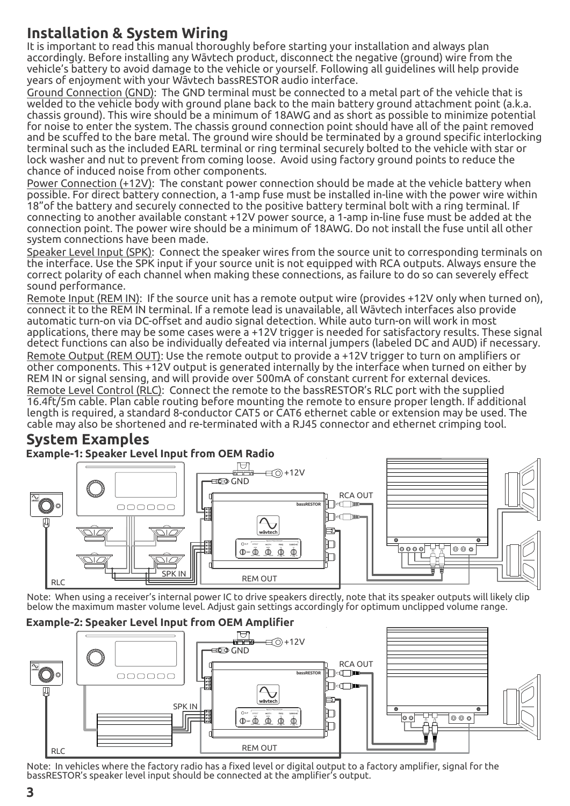# **Installation & System Wiring**

It is important to read this manual thoroughly before starting your installation and always plan accordingly. Before installing any Wāvtech product, disconnect the negative (ground) wire from the vehicle's battery to avoid damage to the vehicle or yourself. Following all guidelines will help provide years of enjoyment with your Wāvtech bassRESTOR audio interface.

Ground Connection (GND): The GND terminal must be connected to a metal part of the vehicle that is welded to the vehicle body with ground plane back to the main battery ground attachment point (a.k.a. chassis ground). This wire should be a minimum of 18AWG and as short as possible to minimize potential for noise to enter the system. The chassis ground connection point should have all of the paint removed and be scuffed to the bare metal. The ground wire should be terminated by a ground specific interlocking terminal such as the included EARL terminal or ring terminal securely bolted to the vehicle with star or lock washer and nut to prevent from coming loose. Avoid using factory ground points to reduce the chance of induced noise from other components.

Power Connection (+12V): The constant power connection should be made at the vehicle battery when possible. For direct battery connection, a 1-amp fuse must be installed in-line with the power wire within 18"of the battery and securely connected to the positive battery terminal bolt with a ring terminal. If connecting to another available constant +12V power source, a 1-amp in-line fuse must be added at the connection point. The power wire should be a minimum of 18AWG. Do not install the fuse until all other system connections have been made.

Speaker Level Input (SPK): Connect the speaker wires from the source unit to corresponding terminals on the interface. Use the SPK input if your source unit is not equipped with RCA outputs. Always ensure the correct polarity of each channel when making these connections, as failure to do so can severely effect sound performance.

Remote Input (REM IN): If the source unit has a remote output wire (provides +12V only when turned on), connect it to the REM IN terminal. If a remote lead is unavailable, all Wāvtech interfaces also provide automatic turn-on via DC-offset and audio signal detection. While auto turn-on will work in most applications, there may be some cases were a +12V trigger is needed for satisfactory results. These signal detect functions can also be individually defeated via internal jumpers (labeled DC and AUD) if necessary. Remote Output (REM OUT): Use the remote output to provide a +12V trigger to turn on amplifiers or other components. This +12V output is generated internally by the interface when turned on either by REM IN or signal sensing, and will provide over 500mA of constant current for external devices. Remote Level Control (RLC): Connect the remote to the bassRESTOR's RLC port with the supplied 16.4ft/5m cable. Plan cable routing before mounting the remote to ensure proper length. If additional length is required, a standard 8-conductor CAT5 or CAT6 ethernet cable or extension may be used. The cable may also be shortened and re-terminated with a RJ45 connector and ethernet crimping tool.

# **System Examples**



Note: When using a receiver's internal power IC to drive speakers directly, note that its speaker outputs will likely clip below the maximum master volume level. Adjust gain settings accordingly for optimum unclipped volume range.





Note: In vehicles where the factory radio has a fixed level or digital output to a factory amplifier, signal for the bassRESTOR's speaker level input should be connected at the amplifier's output.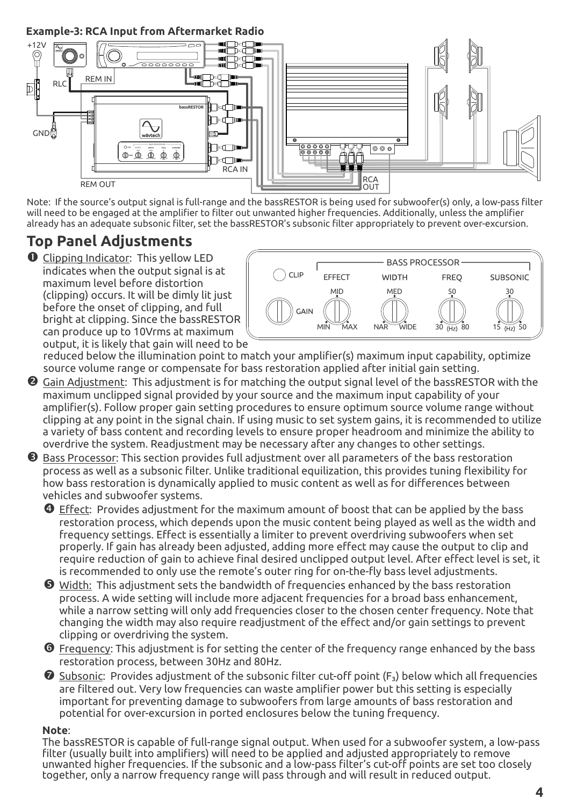**Example-3: RCA Input from Aftermarket Radio**



Note: If the source's output signal is full-range and the bassRESTOR is being used for subwoofer(s) only, a low-pass filter will need to be engaged at the amplifier to filter out unwanted higher frequencies. Additionally, unless the amplifier already has an adequate subsonic filter, set the bassRESTOR's subsonic filter appropriately to prevent over-excursion.

# **Top Panel Adjustments**

**O** Clipping Indicator: This yellow LED indicates when the output signal is at maximum level before distortion (clipping) occurs. It will be dimly lit just before the onset of clipping, and full bright at clipping. Since the bassRESTOR can produce up to 10Vrms at maximum output, it is likely that gain will need to be



reduced below the illumination point to match your amplifier(s) maximum input capability, optimize source volume range or compensate for bass restoration applied after initial gain setting.

- Gain Adjustment: This adjustment is for matching the output signal level of the bassRESTOR with the maximum unclipped signal provided by your source and the maximum input capability of your amplifier(s). Follow proper gain setting procedures to ensure optimum source volume range without clipping at any point in the signal chain. If using music to set system gains, it is recommended to utilize a variety of bass content and recording levels to ensure proper headroom and minimize the ability to overdrive the system. Readjustment may be necessary after any changes to other settings.
- **<sup>3</sup>** Bass Processor: This section provides full adjustment over all parameters of the bass restoration process as well as a subsonic filter. Unlike traditional equilization, this provides tuning flexibility for how bass restoration is dynamically applied to music content as well as for differences between vehicles and subwoofer systems.

 Effect: Provides adjustment for the maximum amount of boost that can be applied by the bass restoration process, which depends upon the music content being played as well as the width and frequency settings. Effect is essentially a limiter to prevent overdriving subwoofers when set properly. If gain has already been adjusted, adding more effect may cause the output to clip and require reduction of gain to achieve final desired unclipped output level. After effect level is set, it is recommended to only use the remote's outer ring for on-the-fly bass level adjustments.

- Width: This adjustment sets the bandwidth of frequencies enhanced by the bass restoration process. A wide setting will include more adjacent frequencies for a broad bass enhancement, while a narrow setting will only add frequencies closer to the chosen center frequency. Note that changing the width may also require readjustment of the effect and/or gain settings to prevent clipping or overdriving the system.
- **O** Frequency: This adjustment is for setting the center of the frequency range enhanced by the bass restoration process, between 30Hz and 80Hz.
- $\bullet$  Subsonic: Provides adjustment of the subsonic filter cut-off point ( $F_3$ ) below which all frequencies are filtered out. Very low frequencies can waste amplifier power but this setting is especially important for preventing damage to subwoofers from large amounts of bass restoration and potential for over-excursion in ported enclosures below the tuning frequency.

#### **Note**:

The bassRESTOR is capable of full-range signal output. When used for a subwoofer system, a low-pass filter (usually built into amplifiers) will need to be applied and adjusted appropriately to remove unwanted higher frequencies. If the subsonic and a low-pass filter's cut-off points are set too closely together, only a narrow frequency range will pass through and will result in reduced output.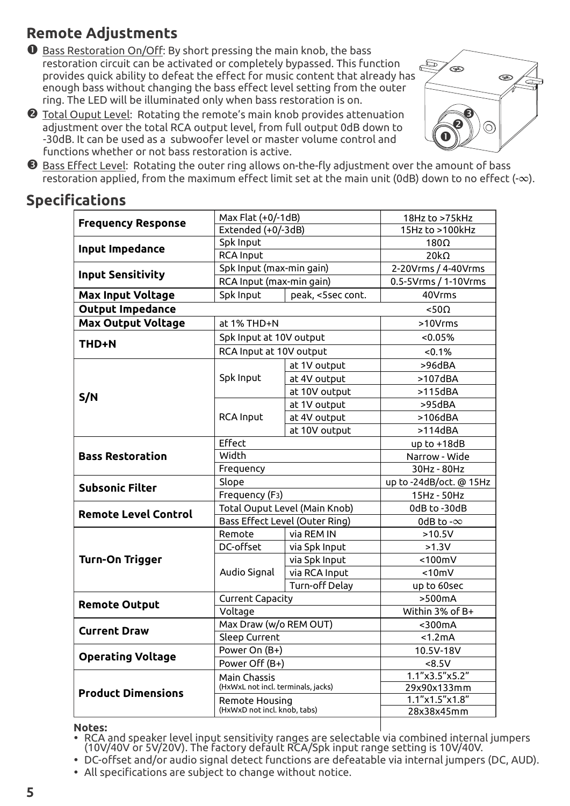# **Remote Adjustments**

- **O** Bass Restoration On/Off: By short pressing the main knob, the bass restoration circuit can be activated or completely bypassed. This function provides quick ability to defeat the effect for music content that already has enough bass without changing the bass effect level setting from the outer ring. The LED will be illuminated only when bass restoration is on.
- Total Ouput Level: Rotating the remote's main knob provides attenuation adjustment over the total RCA output level, from full output 0dB down to -30dB. It can be used as a subwoofer level or master volume control and functions whether or not bass restoration is active.



**<sup>6</sup>** Bass Effect Level: Rotating the outer ring allows on-the-fly adjustment over the amount of bass restoration applied, from the maximum effect limit set at the main unit (0dB) down to no effect (-∞).

# **Specifications**

| <b>Frequency Response</b>                | Max Flat (+0/-1dB)                                 |                | 18Hz to >75kHz                |
|------------------------------------------|----------------------------------------------------|----------------|-------------------------------|
|                                          | Extended (+0/-3dB)                                 |                | 15Hz to >100kHz               |
| Input Impedance                          | Spk Input                                          |                | $180\Omega$                   |
|                                          | <b>RCA Input</b>                                   |                | $20k\Omega$                   |
| <b>Input Sensitivity</b>                 | Spk Input (max-min gain)                           |                | 2-20Vrms / 4-40Vrms           |
|                                          | RCA Input (max-min gain)                           |                | 0.5-5Vrms / 1-10Vrms          |
| <b>Max Input Voltage</b>                 | Spk Input<br>peak, <5sec cont.                     |                | 40Vrms                        |
| <b>Output Impedance</b>                  |                                                    |                | $< 50\Omega$                  |
| <b>Max Output Voltage</b><br>at 1% THD+N |                                                    |                | >10Vrms                       |
| THD+N                                    | Spk Input at 10V output                            |                | < 0.05%                       |
|                                          | RCA Input at 10V output                            |                | < 0.1%                        |
|                                          |                                                    | at 1V output   | >96dBA                        |
|                                          | Spk Input                                          | at 4V output   | $>107$ dBA                    |
|                                          |                                                    | at 10V output  | $>115$ dBA                    |
| S/N                                      |                                                    | at 1V output   | >95dBA                        |
|                                          | <b>RCA Input</b>                                   | at 4V output   | $>106$ dBA                    |
|                                          |                                                    | at 10V output  | $>114$ dBA                    |
|                                          | Effect                                             |                | up to +18dB                   |
| <b>Bass Restoration</b>                  | Width                                              |                | Narrow - Wide                 |
|                                          | Frequency                                          |                | 30Hz - 80Hz                   |
| <b>Subsonic Filter</b>                   | Slope                                              |                | up to -24dB/oct. @ 15Hz       |
|                                          | Frequency (F <sub>3</sub> )                        |                | 15Hz - 50Hz                   |
| <b>Remote Level Control</b>              | Total Ouput Level (Main Knob)                      |                | 0dB to -30dB                  |
|                                          | Bass Effect Level (Outer Ring)                     |                | 0dB to - $\infty$             |
|                                          | Remote                                             | via REM IN     | $>10.5V$                      |
|                                          | DC-offset                                          | via Spk Input  | $>1.3V$                       |
| Turn-On Trigger                          | Audio Signal                                       | via Spk Input  | $< 100$ mV                    |
|                                          |                                                    | via RCA Input  | < 10mV                        |
|                                          |                                                    | Turn-off Delay | up to 60sec                   |
| <b>Remote Output</b>                     | Current Capacity                                   |                | >500mA                        |
|                                          | Voltage                                            |                | Within 3% of B+               |
| <b>Current Draw</b>                      | Max Draw (w/o REM OUT)                             |                | $<$ 300 $mA$                  |
|                                          | Sleep Current                                      |                | < 1.2mA                       |
| <b>Operating Voltage</b>                 | Power On (B+)                                      |                | 10.5V-18V                     |
|                                          | Power Off (B+)                                     |                | <8.5V                         |
|                                          | Main Chassis<br>(HxWxL not incl. terminals, jacks) |                | 1.1"x3.5"x5.2"                |
| <b>Product Dimensions</b>                | Remote Housing<br>(HxWxD not incl. knob, tabs)     |                | 29x90x133mm<br>1.1"x1.5"x1.8" |
|                                          |                                                    |                | 28x38x45mm                    |
|                                          |                                                    |                |                               |

#### **Notes:**

- Ÿ RCA and speaker level input sensitivity ranges are selectable via combined internal jumpers (10V/40V or 5V/20V). The factory default RCA/Spk input range setting is 10V/40V.
- DC-offset and/or audio signal detect functions are defeatable via internal jumpers (DC, AUD).
- All specifications are subiect to change without notice.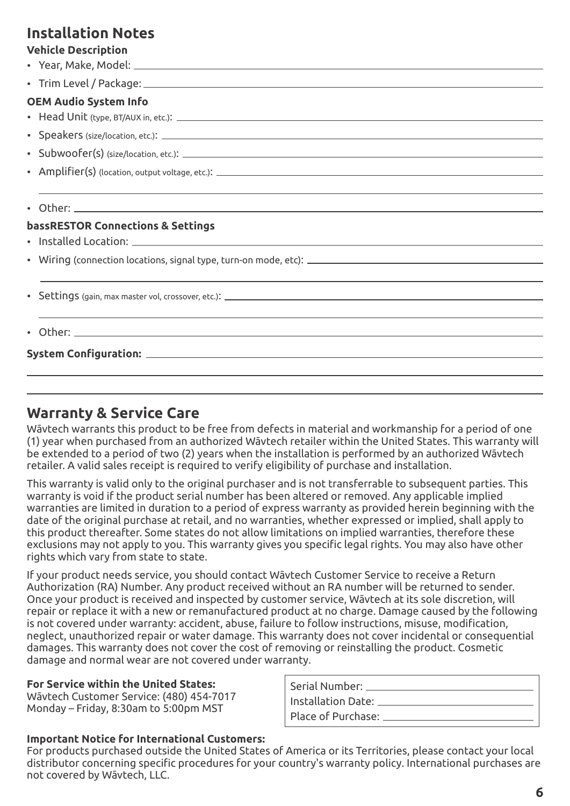### **Installation Notes**

#### **Vehicle Description**

Ÿ Year, Make, Model: • Trim Level / Package: **OEM Audio System Info** Ÿ Head Unit (type, BT/AUX in, etc.): Ÿ Speakers (size/location, etc.): • Subwoofer(s) (size/location, etc.): \_\_\_\_\_\_\_\_\_\_\_ • Amplifier(s) (location, output voltage, etc.): \_\_\_\_\_\_\_\_\_\_\_\_\_\_\_\_\_\_\_\_\_\_\_\_\_\_\_\_\_\_\_  $\cdot$  Other:  $\_\_$ **bassRESTOR Connections & Settings** • Installed Location: 2000 Contract in the set of the set of the set of the set of the set of the set of the set of the set of the set of the set of the set of the set of the set of the set of the set of the set of the set  $\bullet$  Wiring (connection locations, signal type, turn-on mode, etc):  $\Box$ • Settings (gain, max master vol, crossover, etc.): \_\_\_\_\_\_\_ • Other: **System Configuration:**

### **Warranty & Service Care**

Wāvtech warrants this product to be free from defects in material and workmanship for a period of one (1) year when purchased from an authorized Wāvtech retailer within the United States. This warranty will be extended to a period of two (2) years when the installation is performed by an authorized Wāvtech retailer. A valid sales receipt is required to verify eligibility of purchase and installation.

This warranty is valid only to the original purchaser and is not transferrable to subsequent parties. This warranty is void if the product serial number has been altered or removed. Any applicable implied warranties are limited in duration to a period of express warranty as provided herein beginning with the date of the original purchase at retail, and no warranties, whether expressed or implied, shall apply to this product thereafter. Some states do not allow limitations on implied warranties, therefore these exclusions may not apply to you. This warranty gives you specific legal rights. You may also have other rights which vary from state to state.

If your product needs service, you should contact Wāvtech Customer Service to receive a Return Authorization (RA) Number. Any product received without an RA number will be returned to sender. Once your product is received and inspected by customer service, Wāvtech at its sole discretion, will repair or replace it with a new or remanufactured product at no charge. Damage caused by the following is not covered under warranty: accident, abuse, failure to follow instructions, misuse, modification, neglect, unauthorized repair or water damage. This warranty does not cover incidental or consequential damages. This warranty does not cover the cost of removing or reinstalling the product. Cosmetic damage and normal wear are not covered under warranty.

#### **For Service within the United States:**

Wāvtech Customer Service: (480) 454-7017 Monday – Friday, 8:30am to  $5:00$ pm MST

#### **Important Notice for International Customers:**

| Serial Number: _____                  |
|---------------------------------------|
| $\parallel$ Installation Date: $\Box$ |
| Place of Purchase: _____              |

For products purchased outside the United States of America or its Territories, please contact your local distributor concerning specific procedures for your country's warranty policy. International purchases are not covered by Wāvtech, LLC.